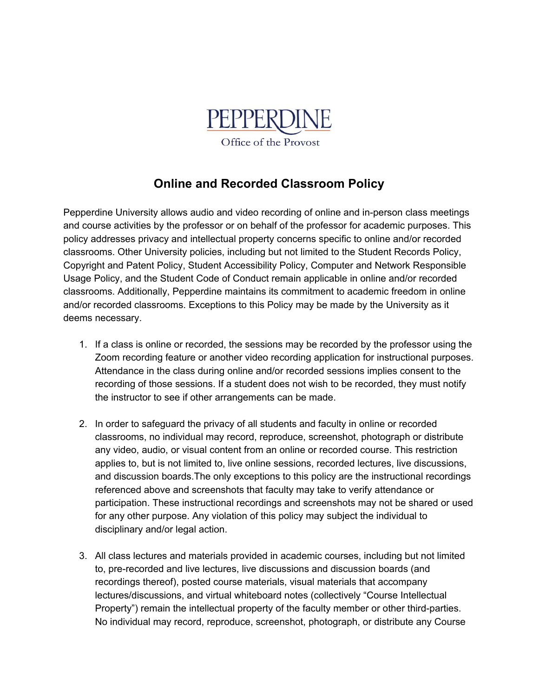

## **Online and Recorded Classroom Policy**

Pepperdine University allows audio and video recording of online and in-person class meetings and course activities by the professor or on behalf of the professor for academic purposes. This policy addresses privacy and intellectual property concerns specific to online and/or recorded classrooms. Other University policies, including but not limited to the Student Records Policy, Copyright and Patent Policy, Student Accessibility Policy, Computer and Network Responsible Usage Policy, and the Student Code of Conduct remain applicable in online and/or recorded classrooms. Additionally, Pepperdine maintains its commitment to academic freedom in online and/or recorded classrooms. Exceptions to this Policy may be made by the University as it deems necessary.

- 1. If a class is online or recorded, the sessions may be recorded by the professor using the Zoom recording feature or another video recording application for instructional purposes. Attendance in the class during online and/or recorded sessions implies consent to the recording of those sessions. If a student does not wish to be recorded, they must notify the instructor to see if other arrangements can be made.
- 2. In order to safeguard the privacy of all students and faculty in online or recorded classrooms, no individual may record, reproduce, screenshot, photograph or distribute any video, audio, or visual content from an online or recorded course. This restriction applies to, but is not limited to, live online sessions, recorded lectures, live discussions, and discussion boards.The only exceptions to this policy are the instructional recordings referenced above and screenshots that faculty may take to verify attendance or participation. These instructional recordings and screenshots may not be shared or used for any other purpose. Any violation of this policy may subject the individual to disciplinary and/or legal action.
- 3. All class lectures and materials provided in academic courses, including but not limited to, pre-recorded and live lectures, live discussions and discussion boards (and recordings thereof), posted course materials, visual materials that accompany lectures/discussions, and virtual whiteboard notes (collectively "Course Intellectual Property") remain the intellectual property of the faculty member or other third-parties. No individual may record, reproduce, screenshot, photograph, or distribute any Course